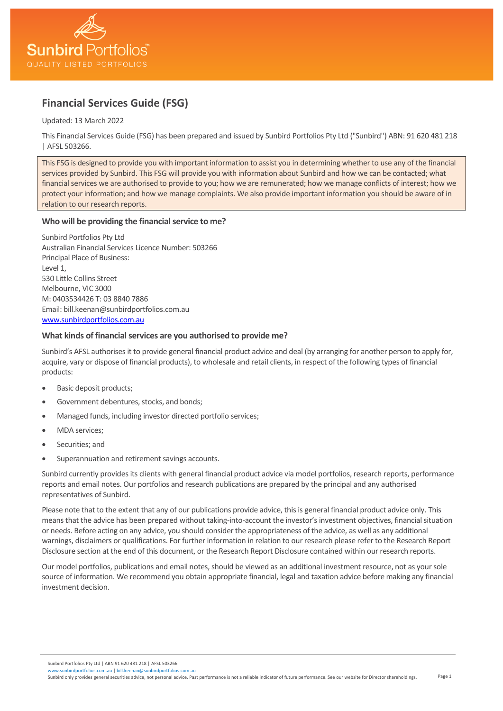

# **Financial Services Guide (FSG)**

Updated: 13 March 2022

This Financial Services Guide (FSG) has been prepared and issued by Sunbird Portfolios Pty Ltd ("Sunbird") ABN: 91 620 481 218 | AFSL 503266.

This FSG is designed to provide you with important information to assist you in determining whether to use any of the financial services provided by Sunbird. This FSG will provide you with information about Sunbird and how we can be contacted; what financial services we are authorised to provide to you; how we are remunerated; how we manage conflicts of interest; how we protect your information; and how we manage complaints. We also provide important information you should be aware of in relation to our research reports.

# **Who will be providing the financial service to me?**

Sunbird Portfolios Pty Ltd Australian Financial Services Licence Number: 503266 Principal Place of Business: Level 1, 530 Little Collins Street Melbourne, VIC 3000 M: 0403534426 T: 03 8840 7886 Email: bill.keenan@sunbirdportfolios.com.au [www.sunbirdportfolios.com.au](http://www.sunbirdportfolios.com.au/)

# **What kinds of financial services are you authorised to provide me?**

Sunbird's AFSL authorises it to provide general financial product advice and deal (by arranging for another person to apply for, acquire, vary or dispose of financial products), to wholesale and retail clients, in respect of the following types of financial products:

- Basic deposit products;
- Government debentures, stocks, and bonds;
- Managed funds, including investor directed portfolio services;
- MDA services;
- Securities; and
- Superannuation and retirement savings accounts.

Sunbird currently provides its clients with general financial product advice via model portfolios, research reports, performance reports and email notes. Our portfolios and research publications are prepared by the principal and any authorised representatives of Sunbird.

Please note that to the extent that any of our publications provide advice, this is general financial product advice only. This means that the advice has been prepared without taking-into-account the investor's investment objectives, financial situation or needs. Before acting on any advice, you should consider the appropriateness of the advice, as well as any additional warnings, disclaimers or qualifications. For further information in relation to our research please refer to the Research Report Disclosure section at the end of this document, or the Research Report Disclosure contained within our research reports.

Our model portfolios, publications and email notes, should be viewed as an additional investment resource, not as your sole source of information. We recommend you obtain appropriate financial, legal and taxation advice before making any financial investment decision.

Sunbird Portfolios Pty Ltd | ABN 91 620 481 218 | AFSL 503266

Page 1 irdportfolios.com.au | bill.keenan@sunbirdportfolios.com. Sunbird only provides general securities advice, not personal advice. Past performance is not a reliable indicator of future performance. See our website for Director shareholdings.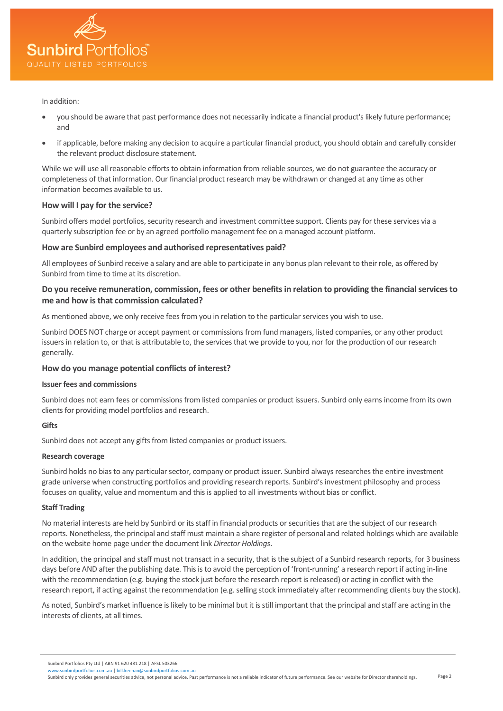

#### In addition:

- you should be aware that past performance does not necessarily indicate a financial product's likely future performance; and
- if applicable, before making any decision to acquire a particular financial product, you should obtain and carefully consider the relevant product disclosure statement.

While we will use all reasonable efforts to obtain information from reliable sources, we do not guarantee the accuracy or completeness of that information. Our financial product research may be withdrawn or changed at any time as other information becomes available to us.

## **How will I pay for the service?**

Sunbird offers model portfolios, security research and investment committee support. Clients pay for these services via a quarterly subscription fee or by an agreed portfolio management fee on a managed account platform.

# **How are Sunbird employees and authorised representatives paid?**

All employees of Sunbird receive a salary and are able to participate in any bonus plan relevant to their role, as offered by Sunbird from time to time at its discretion.

# **Do you receive remuneration, commission, fees or other benefits in relation to providing the financial services to me and how is that commission calculated?**

As mentioned above, we only receive fees from you in relation to the particular services you wish to use.

Sunbird DOES NOT charge or accept payment or commissions from fund managers, listed companies, or any other product issuers in relation to, or that is attributable to, the services that we provide to you, nor for the production of our research generally.

# **How do you manage potential conflicts of interest?**

## **Issuer fees and commissions**

Sunbird does not earn fees or commissions from listed companies or product issuers. Sunbird only earns income from its own clients for providing model portfolios and research.

# **Gifts**

Sunbird does not accept any gifts from listed companies or product issuers.

#### **Research coverage**

Sunbird holds no bias to any particular sector, company or product issuer. Sunbird always researches the entire investment grade universe when constructing portfolios and providing research reports. Sunbird's investment philosophy and process focuses on quality, value and momentum and this is applied to all investments without bias or conflict.

#### **Staff Trading**

No material interests are held by Sunbird or its staff in financial products or securities that are the subject of our research reports. Nonetheless, the principal and staff must maintain a share register of personal and related holdings which are available on the website home page under the document link *Director Holdings*.

In addition, the principal and staff must not transact in a security, that is the subject of a Sunbird research reports, for 3 business days before AND after the publishing date. This is to avoid the perception of 'front-running' a research report if acting in-line with the recommendation (e.g. buying the stock just before the research report is released) or acting in conflict with the research report, if acting against the recommendation (e.g. selling stock immediately after recommending clients buy the stock).

As noted, Sunbird's market influence is likely to be minimal but it is still important that the principal and staff are acting in the interests of clients, at all times.

Sunbird Portfolios Pty Ltd | ABN 91 620 481 218 | AFSL 503266

irdportfolios.com.au | bill.keenan@sunbirdportfolios.com.a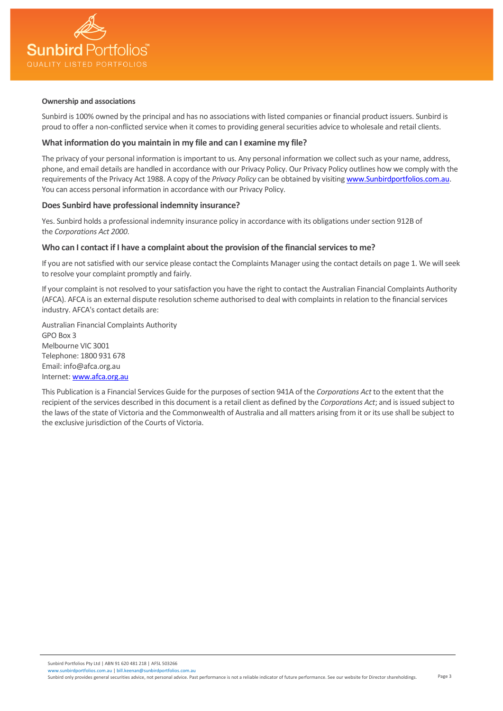

### **Ownership and associations**

Sunbird is 100% owned by the principal and has no associations with listed companies or financial product issuers. Sunbird is proud to offer a non-conflicted service when it comes to providing general securities advice to wholesale and retail clients.

# **What information do you maintain in my file and can I examine my file?**

The privacy of your personal information is important to us. Any personal information we collect such as your name, address, phone, and email details are handled in accordance with our Privacy Policy. Our Privacy Policy outlines how we comply with the requirements of the Privacy Act 1988. A copy of the *Privacy Policy* can be obtained by visitin[g www.Sunbirdportfolios.com.au.](http://www.bluebirdportfolios.com.au/) You can access personal information in accordance with our Privacy Policy.

## **Does Sunbird have professional indemnity insurance?**

Yes. Sunbird holds a professional indemnity insurance policy in accordance with its obligations under section 912B of the *Corporations Act 2000*.

## **Who can I contact if I have a complaint about the provision of the financial services to me?**

If you are not satisfied with our service please contact the Complaints Manager using the contact details on page 1. We will seek to resolve your complaint promptly and fairly.

If your complaint is not resolved to your satisfaction you have the right to contact the Australian Financial Complaints Authority (AFCA). AFCA is an external dispute resolution scheme authorised to deal with complaints in relation to the financial services industry. AFCA's contact details are:

Australian Financial Complaints Authority GPO Box 3 Melbourne VIC 3001 Telephone: 1800 931 678 Email: info@afca.org.au Internet[: www.afca.org.au](http://www.afca.org.au/)

This Publication is a Financial Services Guide for the purposes of section 941A of the *Corporations Act* to the extent that the recipient of the services described in this document is a retail client as defined by the *Corporations Act*; and is issued subject to the laws of the state of Victoria and the Commonwealth of Australia and all matters arising from it or its use shall be subject to the exclusive jurisdiction of the Courts of Victoria.

Page 3 Sunbird only provides general securities advice, not personal advice. Past performance is not a reliable indicator of future performance. See our website for Director shareholdings.